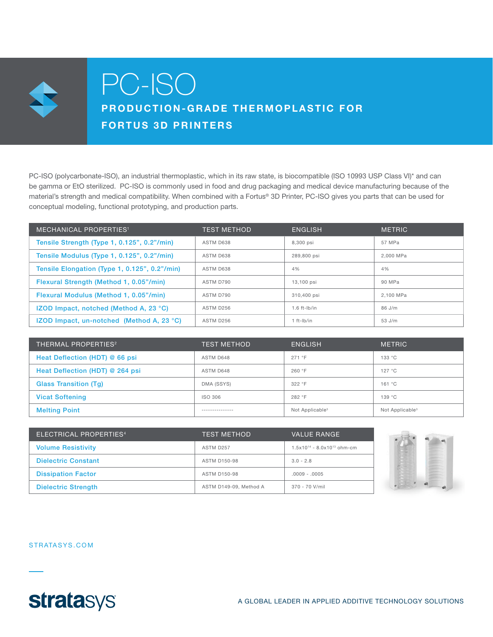

# PC-ISO

## PRODUCTION-GRADE THERMOPLASTIC FOR FORTUS 3D PRINTERS

PC-ISO (polycarbonate-ISO), an industrial thermoplastic, which in its raw state, is biocompatible (ISO 10993 USP Class VI)\* and can be gamma or EtO sterilized. PC-ISO is commonly used in food and drug packaging and medical device manufacturing because of the material's strength and medical compatibility. When combined with a Fortus® 3D Printer, PC-ISO gives you parts that can be used for conceptual modeling, functional prototyping, and production parts.

| <b>MECHANICAL PROPERTIES<sup>1</sup></b>         | <b>TEST METHOD</b> | <b>ENGLISH</b> | <b>METRIC</b> |
|--------------------------------------------------|--------------------|----------------|---------------|
| Tensile Strength (Type 1, 0.125", 0.2"/min)      | ASTM D638          | 8,300 psi      | 57 MPa        |
| Tensile Modulus (Type 1, 0.125", 0.2"/min)       | ASTM D638          | 289,800 psi    | 2.000 MPa     |
| Tensile Elongation (Type 1, 0.125", 0.2"/min)    | ASTM D638          | 4%             | 4%            |
| Flexural Strength (Method 1, 0.05"/min)          | ASTM D790          | 13.100 psi     | 90 MPa        |
| Flexural Modulus (Method 1, 0.05"/min)           | ASTM D790          | 310,400 psi    | 2.100 MPa     |
| <b>IZOD Impact, notched (Method A, 23 °C)</b>    | ASTM D256          | $1.6$ ft-lb/in | 86 J/m        |
| <b>IZOD Impact, un-notched (Method A, 23 °C)</b> | ASTM D256          | $1 ft-lb/in$   | 53 J/m        |

| <b>THERMAL PROPERTIES<sup>2</sup></b> | <b>TEST METHOD</b> | <b>ENGLISH</b>              | <b>METRIC</b>               |
|---------------------------------------|--------------------|-----------------------------|-----------------------------|
| Heat Deflection (HDT) @ 66 psi        | ASTM D648          | 271 °F                      | 133 °C                      |
| Heat Deflection (HDT) @ 264 psi       | ASTM D648          | 260 °F                      | 127 °C                      |
| <b>Glass Transition (Tg)</b>          | DMA (SSYS)         | 322 °F                      | 161 °C                      |
| <b>Vicat Softening</b>                | ISO 306            | 282 °F                      | 139 °C                      |
| <b>Melting Point</b>                  | --------------     | Not Applicable <sup>3</sup> | Not Applicable <sup>3</sup> |

| ELECTRICAL PROPERTIES <sup>4</sup> | <b>TEST METHOD</b>     | <b>VALUE RANGE</b>                 |
|------------------------------------|------------------------|------------------------------------|
| <b>Volume Resistivity</b>          | ASTM D257              | $1.5x10^{14} - 8.0x10^{13}$ ohm-cm |
| <b>Dielectric Constant</b>         | <b>ASTM D150-98</b>    | $3.0 - 2.8$                        |
| <b>Dissipation Factor</b>          | <b>ASTM D150-98</b>    | $.0009 - .0005$                    |
| <b>Dielectric Strength</b>         | ASTM D149-09. Method A | 370 - 70 V/mil                     |



STRATASYS.COM